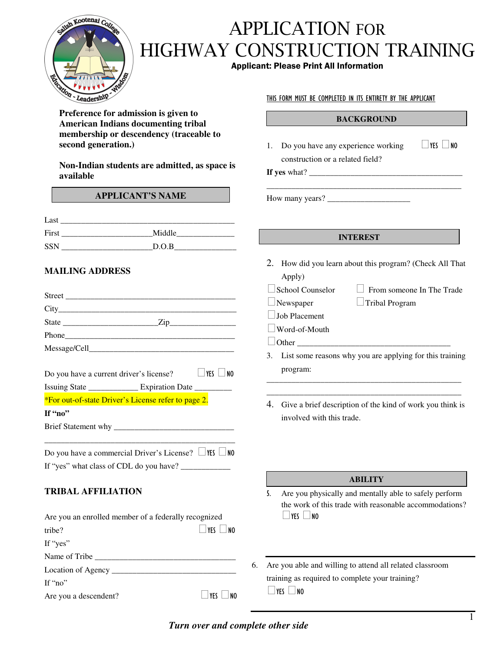

# $\blacksquare$ HIGHWAY CONSTRUCTION TRAINING **APPLICATION FOR**

### **Applicant: Please Print All Information**

**Preference for admission is given to American Indians documenting tribal membership or descendency (traceable to second generation.)**

**Non-Indian students are admitted, as space is available**

### **APPLICANT'S NAME**

| Last       |        |
|------------|--------|
| First      | Middle |
| <b>SSN</b> | D.O.B  |

### **MAILING ADDRESS**

|                           | Do you have a current driver's license? $\Box$ YES $\Box$ NO    |  |
|---------------------------|-----------------------------------------------------------------|--|
|                           | Issuing State ________________ Expiration Date _________        |  |
|                           | *For out-of-state Driver's License refer to page 2.             |  |
| If "no"                   |                                                                 |  |
|                           |                                                                 |  |
|                           |                                                                 |  |
|                           | Do you have a commercial Driver's License? $\Box$ YES $\Box$ NO |  |
|                           |                                                                 |  |
| <b>TRIBAL AFFILIATION</b> |                                                                 |  |
|                           | $\lambda$ 11 1 1 $\alpha$ $\beta$ 1 1 $\gamma$ 1 1              |  |

| Are you an enrolled member of a federally recognized |              |  |  |
|------------------------------------------------------|--------------|--|--|
| tribe?                                               | ∣  YFS    NO |  |  |
| If "yes"                                             |              |  |  |
| Name of Tribe                                        |              |  |  |
| Location of Agency                                   |              |  |  |
| If " $no$ "                                          |              |  |  |
| Are you a descendent?                                | ∣YF (        |  |  |

### THIS FORM MUST BE COMPLETED IN ITS ENTIRETY BY THE APPLICANT

#### **BACKGROUND**

\_\_\_\_\_\_\_\_\_\_\_\_\_\_\_\_\_\_\_\_\_\_\_\_\_\_\_\_\_\_\_\_\_\_\_\_\_\_\_\_\_\_\_\_\_\_\_

 $\Box$ YES  $\Box$ NO

1. Do you have any experience working construction or a related field?

**If yes** what? \_\_\_\_\_\_\_\_\_\_\_\_\_\_\_\_\_\_\_\_\_\_\_\_\_\_\_\_\_\_\_\_\_\_\_\_\_

How many years? \_\_\_\_\_\_\_\_\_\_\_\_\_\_\_\_\_\_\_\_

#### **INTEREST**

- 2. How did you learn about this program? (Check All That
- Apply)  $\Box$  School Counselor  $\Box$  From someone In The Trade  $\Box$ Newspaper  $\Box$  Tribal Program
- **Job Placement**
- ■Word-of-Mouth
- $\Box$  Other
- 3. List some reasons why you are applying for this training program:

\_\_\_\_\_\_\_\_\_\_\_\_\_\_\_\_\_\_\_\_\_\_\_\_\_\_\_\_\_\_\_\_\_\_\_\_\_\_\_\_\_\_\_\_\_\_\_ \_\_\_\_\_\_\_\_\_\_\_\_\_\_\_\_\_\_\_\_\_\_\_\_\_\_\_\_\_\_\_\_\_\_\_\_\_\_\_\_\_\_\_\_\_\_\_

4. Give a brief description of the kind of work you think is involved with this trade.

#### **ABILITY**

- Are you physically and mentally able to safely perform the work of this trade with reasonable accommodations?  $T$  YES  $\Box$  NO
- 6. Are you able and willing to attend all related classroom training as required to complete your training?  $\Box$ YES  $\Box$ NO

*Turn over and complete other side*